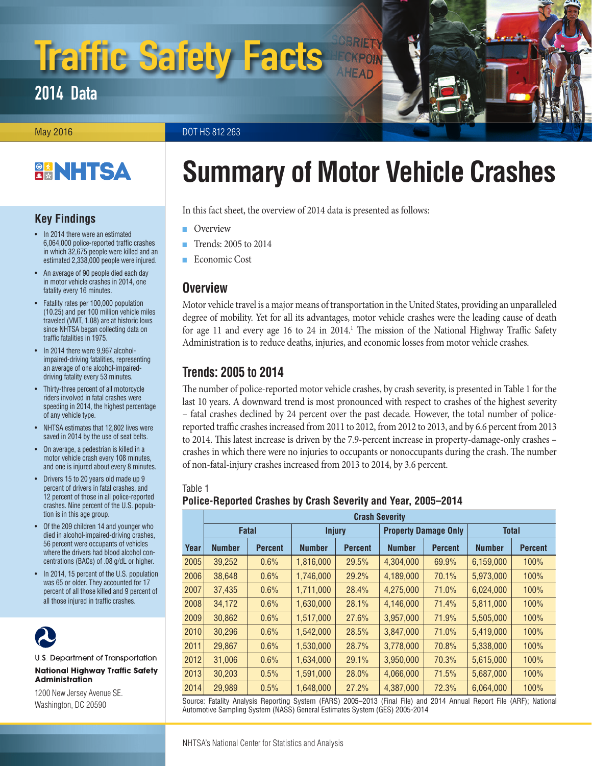# Traffic Safety Facts

2014 Data

May 2016 **DOT HS 812 263** 

# **BANHTSA**

### **Key Findings**

- In 2014 there were an estimated 6,064,000 police-reported traffic crashes in which 32,675 people were killed and an estimated 2,338,000 people were injured.
- An average of 90 people died each day in motor vehicle crashes in 2014, one fatality every 16 minutes.
- Fatality rates per 100,000 population (10.25) and per 100 million vehicle miles traveled (VMT, 1.08) are at historic lows since NHTSA began collecting data on traffic fatalities in 1975.
- In 2014 there were 9,967 alcoholimpaired-driving fatalities, representing an average of one alcohol-impaireddriving fatality every 53 minutes.
- Thirty-three percent of all motorcycle riders involved in fatal crashes were speeding in 2014, the highest percentage of any vehicle type.
- NHTSA estimates that 12,802 lives were saved in 2014 by the use of seat belts.
- On average, a pedestrian is killed in a motor vehicle crash every 108 minutes, and one is injured about every 8 minutes.
- Drivers 15 to 20 years old made up 9 percent of drivers in fatal crashes, and 12 percent of those in all police-reported crashes. Nine percent of the U.S. population is in this age group.
- Of the 209 children 14 and younger who died in alcohol-impaired-driving crashes, 56 percent were occupants of vehicles where the drivers had blood alcohol concentrations (BACs) of .08 g/dL or higher.
- In 2014, 15 percent of the U.S. population was 65 or older. They accounted for 17 percent of all those killed and 9 percent of all those injured in traffic crashes.



U.S. Department of Transportation **National Highway Traffic Safety Administration** 

1200 New Jersey Avenue SE. Washington, DC 20590

# **Summary of Motor Vehicle Crashes**

In this fact sheet, the overview of 2014 data is presented as follows:

- **Overview**
- Trends: 2005 to 2014
- [Economic Cost](#page-2-0)

# **Overview**

Motor vehicle travel is a major means of transportation in the United States, providing an unparalleled degree of mobility. Yet for all its advantages, motor vehicle crashes were the leading cause of death for age 11 and every age 16 to 24 in 2014.<sup>1</sup> The mission of the National Highway Traffic Safety Administration is to reduce deaths, injuries, and economic losses from motor vehicle crashes.

# **Trends: 2005 to 2014**

The number of police-reported motor vehicle crashes, by crash severity, is presented in Table 1 for the last 10 years. A downward trend is most pronounced with respect to crashes of the highest severity – fatal crashes declined by 24 percent over the past decade. However, the total number of policereported traffic crashes increased from 2011 to 2012, from 2012 to 2013, and by 6.6 percent from 2013 to 2014. This latest increase is driven by the 7.9-percent increase in property-damage-only crashes – crashes in which there were no injuries to occupants or nonoccupants during the crash. The number of non-fatal-injury crashes increased from 2013 to 2014, by 3.6 percent.

#### Table 1 **Police-Reported Crashes by Crash Severity and Year, 2005–2014**

|      | <b>Crash Severity</b> |                |               |                |                             |                |               |                |
|------|-----------------------|----------------|---------------|----------------|-----------------------------|----------------|---------------|----------------|
|      | <b>Fatal</b>          |                | <b>Injury</b> |                | <b>Property Damage Only</b> |                | <b>Total</b>  |                |
| Year | <b>Number</b>         | <b>Percent</b> | <b>Number</b> | <b>Percent</b> | <b>Number</b>               | <b>Percent</b> | <b>Number</b> | <b>Percent</b> |
| 2005 | 39,252                | 0.6%           | 1,816,000     | 29.5%          | 4,304,000                   | 69.9%          | 6,159,000     | 100%           |
| 2006 | 38,648                | 0.6%           | 1,746,000     | 29.2%          | 4,189,000                   | 70.1%          | 5,973,000     | 100%           |
| 2007 | 37,435                | 0.6%           | 1.711.000     | 28.4%          | 4,275,000                   | 71.0%          | 6,024,000     | 100%           |
| 2008 | 34,172                | 0.6%           | 1,630,000     | 28.1%          | 4,146,000                   | 71.4%          | 5,811,000     | 100%           |
| 2009 | 30,862                | 0.6%           | 1,517,000     | 27.6%          | 3,957,000                   | 71.9%          | 5,505,000     | 100%           |
| 2010 | 30.296                | 0.6%           | 1,542,000     | 28.5%          | 3,847,000                   | 71.0%          | 5,419,000     | 100%           |
| 2011 | 29,867                | 0.6%           | 1,530,000     | 28.7%          | 3,778,000                   | 70.8%          | 5,338,000     | 100%           |
| 2012 | 31,006                | 0.6%           | 1,634,000     | 29.1%          | 3,950,000                   | 70.3%          | 5,615,000     | 100%           |
| 2013 | 30,203                | 0.5%           | 1,591,000     | 28.0%          | 4,066,000                   | 71.5%          | 5,687,000     | 100%           |
| 2014 | 29,989                | 0.5%           | 1,648,000     | 27.2%          | 4,387,000                   | 72.3%          | 6,064,000     | 100%           |

Source: Fatality Analysis Reporting System (FARS) 2005–2013 (Final File) and 2014 Annual Report File (ARF); National Automotive Sampling System (NASS) General Estimates System (GES) 2005-2014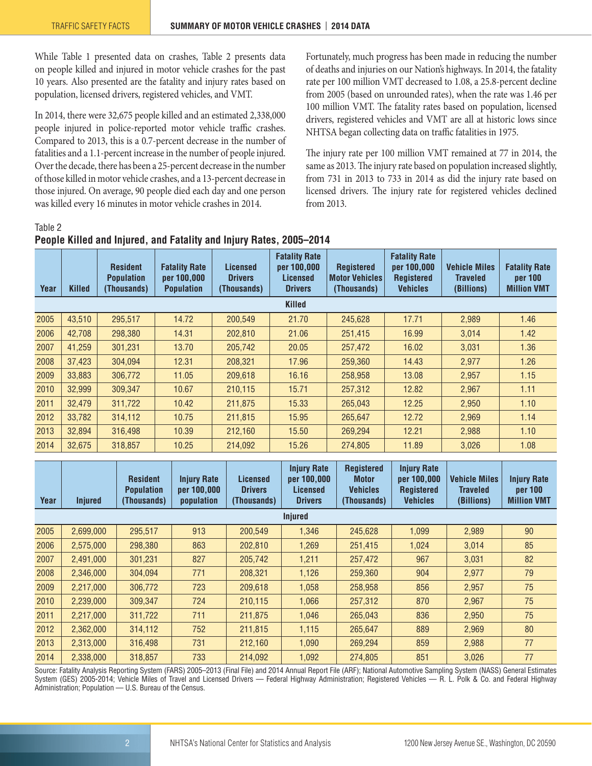While Table 1 presented data on crashes, Table 2 presents data on people killed and injured in motor vehicle crashes for the past 10 years. Also presented are the fatality and injury rates based on population, licensed drivers, registered vehicles, and VMT.

In 2014, there were 32,675 people killed and an estimated 2,338,000 people injured in police-reported motor vehicle traffic crashes. Compared to 2013, this is a 0.7-percent decrease in the number of fatalities and a 1.1-percent increase in the number of people injured. Over the decade, there has been a 25-percent decrease in the number of those killed in motor vehicle crashes, and a 13-percent decrease in those injured. On average, 90 people died each day and one person was killed every 16 minutes in motor vehicle crashes in 2014.

Fortunately, much progress has been made in reducing the number of deaths and injuries on our Nation's highways. In 2014, the fatality rate per 100 million VMT decreased to 1.08, a 25.8-percent decline from 2005 (based on unrounded rates), when the rate was 1.46 per 100 million VMT. The fatality rates based on population, licensed drivers, registered vehicles and VMT are all at historic lows since NHTSA began collecting data on traffic fatalities in 1975.

The injury rate per 100 million VMT remained at 77 in 2014, the same as 2013. The injury rate based on population increased slightly, from 731 in 2013 to 733 in 2014 as did the injury rate based on licensed drivers. The injury rate for registered vehicles declined from 2013.

Table 2

| Year          | <b>Killed</b> | <b>Resident</b><br><b>Population</b><br>(Thousands) | <b>Fatality Rate</b><br>per 100,000<br><b>Population</b> | Licensed<br><b>Drivers</b><br>(Thousands) | <b>Fatality Rate</b><br>per 100,000<br>Licensed<br><b>Drivers</b> | <b>Registered</b><br><b>Motor Vehicles</b><br>(Thousands) | <b>Fatality Rate</b><br>per 100,000<br><b>Registered</b><br><b>Vehicles</b> | <b>Vehicle Miles</b><br>Traveled<br>(Billions) | <b>Fatality Rate</b><br>per 100<br><b>Million VMT</b> |
|---------------|---------------|-----------------------------------------------------|----------------------------------------------------------|-------------------------------------------|-------------------------------------------------------------------|-----------------------------------------------------------|-----------------------------------------------------------------------------|------------------------------------------------|-------------------------------------------------------|
| <b>Killed</b> |               |                                                     |                                                          |                                           |                                                                   |                                                           |                                                                             |                                                |                                                       |
| 2005          | 43,510        | 295,517                                             | 14.72                                                    | 200,549                                   | 21.70                                                             | 245,628                                                   | 17.71                                                                       | 2,989                                          | 1.46                                                  |
| 2006          | 42,708        | 298,380                                             | 14.31                                                    | 202,810                                   | 21.06                                                             | 251,415                                                   | 16.99                                                                       | 3,014                                          | 1.42                                                  |
| 2007          | 41,259        | 301.231                                             | 13.70                                                    | 205,742                                   | 20.05                                                             | 257,472                                                   | 16.02                                                                       | 3.031                                          | 1.36                                                  |
| 2008          | 37,423        | 304,094                                             | 12.31                                                    | 208,321                                   | 17.96                                                             | 259,360                                                   | 14.43                                                                       | 2,977                                          | 1.26                                                  |
| 2009          | 33,883        | 306,772                                             | 11.05                                                    | 209,618                                   | 16.16                                                             | 258,958                                                   | 13.08                                                                       | 2,957                                          | 1.15                                                  |
| 2010          | 32,999        | 309,347                                             | 10.67                                                    | 210,115                                   | 15.71                                                             | 257,312                                                   | 12.82                                                                       | 2,967                                          | 1.11                                                  |
| 2011          | 32,479        | 311,722                                             | 10.42                                                    | 211,875                                   | 15.33                                                             | 265,043                                                   | 12.25                                                                       | 2,950                                          | 1.10                                                  |
| 2012          | 33,782        | 314.112                                             | 10.75                                                    | 211,815                                   | 15.95                                                             | 265,647                                                   | 12.72                                                                       | 2,969                                          | 1.14                                                  |
| 2013          | 32.894        | 316.498                                             | 10.39                                                    | 212,160                                   | 15.50                                                             | 269,294                                                   | 12.21                                                                       | 2,988                                          | 1.10                                                  |
| 2014          | 32,675        | 318,857                                             | 10.25                                                    | 214.092                                   | 15.26                                                             | 274.805                                                   | 11.89                                                                       | 3,026                                          | 1.08                                                  |

#### **People Killed and Injured, and Fatality and Injury Rates, 2005–2014**

| Year | <b>Injured</b> | <b>Resident</b><br><b>Population</b><br>(Thousands) | <b>Injury Rate</b><br>per 100,000<br>population | <b>Licensed</b><br><b>Drivers</b><br>(Thousands) | <b>Injury Rate</b><br>per 100,000<br><b>Licensed</b><br><b>Drivers</b> | <b>Registered</b><br><b>Motor</b><br><b>Vehicles</b><br>(Thousands) | <b>Injury Rate</b><br>per 100,000<br><b>Registered</b><br><b>Vehicles</b> | <b>Vehicle Miles</b><br><b>Traveled</b><br>(Billions) | <b>Injury Rate</b><br>per 100<br><b>Million VMT</b> |
|------|----------------|-----------------------------------------------------|-------------------------------------------------|--------------------------------------------------|------------------------------------------------------------------------|---------------------------------------------------------------------|---------------------------------------------------------------------------|-------------------------------------------------------|-----------------------------------------------------|
|      |                |                                                     |                                                 |                                                  | <b>Injured</b>                                                         |                                                                     |                                                                           |                                                       |                                                     |
| 2005 | 2,699,000      | 295,517                                             | 913                                             | 200.549                                          | 1,346                                                                  | 245,628                                                             | 1,099                                                                     | 2,989                                                 | 90                                                  |
| 2006 | 2,575,000      | 298,380                                             | 863                                             | 202,810                                          | 1,269                                                                  | 251,415                                                             | 1,024                                                                     | 3,014                                                 | 85                                                  |
| 2007 | 2,491,000      | 301,231                                             | 827                                             | 205,742                                          | 1,211                                                                  | 257,472                                                             | 967                                                                       | 3,031                                                 | 82                                                  |
| 2008 | 2,346,000      | 304,094                                             | 771                                             | 208,321                                          | 1,126                                                                  | 259,360                                                             | 904                                                                       | 2,977                                                 | 79                                                  |
| 2009 | 2,217,000      | 306,772                                             | 723                                             | 209.618                                          | 1,058                                                                  | 258,958                                                             | 856                                                                       | 2,957                                                 | 75                                                  |
| 2010 | 2,239,000      | 309,347                                             | 724                                             | 210,115                                          | 1,066                                                                  | 257,312                                                             | 870                                                                       | 2,967                                                 | 75                                                  |
| 2011 | 2,217,000      | 311,722                                             | 711                                             | 211,875                                          | 1.046                                                                  | 265,043                                                             | 836                                                                       | 2,950                                                 | 75                                                  |
| 2012 | 2,362,000      | 314,112                                             | 752                                             | 211,815                                          | 1,115                                                                  | 265,647                                                             | 889                                                                       | 2,969                                                 | 80                                                  |
| 2013 | 2,313,000      | 316,498                                             | 731                                             | 212,160                                          | 1.090                                                                  | 269.294                                                             | 859                                                                       | 2,988                                                 | 77                                                  |
| 2014 | 2,338,000      | 318,857                                             | 733                                             | 214,092                                          | 1,092                                                                  | 274,805                                                             | 851                                                                       | 3,026                                                 | 77                                                  |

Source: Fatality Analysis Reporting System (FARS) 2005–2013 (Final File) and 2014 Annual Report File (ARF); National Automotive Sampling System (NASS) General Estimates System (GES) 2005-2014; Vehicle Miles of Travel and Licensed Drivers — Federal Highway Administration; Registered Vehicles — R. L. Polk & Co. and Federal Highway Administration; Population — U.S. Bureau of the Census.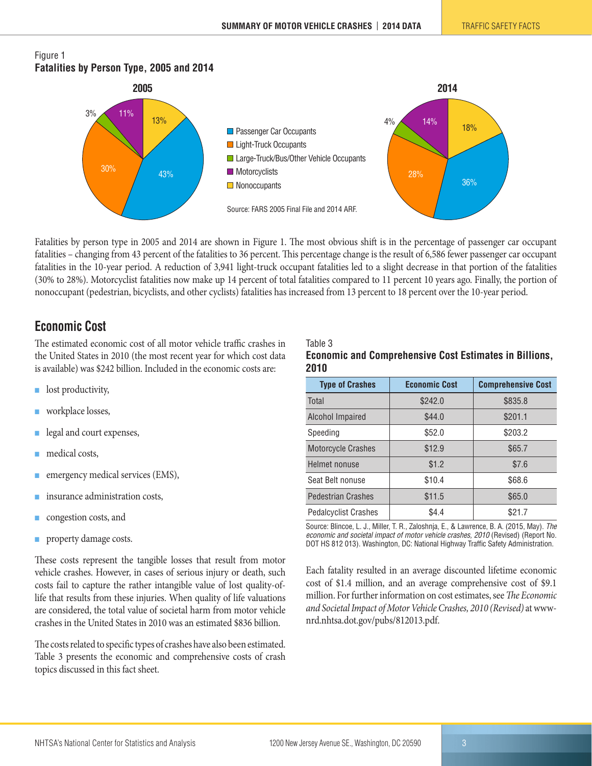#### <span id="page-2-0"></span>Figure 1 **Fatalities by Person Type, 2005 and 2014**



Fatalities by person type in 2005 and 2014 are shown in Figure 1. The most obvious shift is in the percentage of passenger car occupant fatalities – changing from 43 percent of the fatalities to 36 percent. This percentage change is the result of 6,586 fewer passenger car occupant fatalities in the 10-year period. A reduction of 3,941 light-truck occupant fatalities led to a slight decrease in that portion of the fatalities (30% to 28%). Motorcyclist fatalities now make up 14 percent of total fatalities compared to 11 percent 10 years ago. Finally, the portion of nonoccupant (pedestrian, bicyclists, and other cyclists) fatalities has increased from 13 percent to 18 percent over the 10-year period.

Table 3

## **Economic Cost**

The estimated economic cost of all motor vehicle traffic crashes in the United States in 2010 (the most recent year for which cost data is available) was \$242 billion. Included in the economic costs are:

- lost productivity,
- workplace losses,
- legal and court expenses,
- medical costs,
- emergency medical services (EMS),
- insurance administration costs,
- congestion costs, and
- **PEDIES** property damage costs.

These costs represent the tangible losses that result from motor vehicle crashes. However, in cases of serious injury or death, such costs fail to capture the rather intangible value of lost quality-oflife that results from these injuries. When quality of life valuations are considered, the total value of societal harm from motor vehicle crashes in the United States in 2010 was an estimated \$836 billion.

The costs related to specific types of crashes have also been estimated. Table 3 presents the economic and comprehensive costs of crash topics discussed in this fact sheet.

#### **Economic and Comprehensive Cost Estimates in Billions, 2010**

| <b>Type of Crashes</b>      | <b>Economic Cost</b> | <b>Comprehensive Cost</b> |  |  |
|-----------------------------|----------------------|---------------------------|--|--|
| Total                       | \$242.0              | \$835.8                   |  |  |
| Alcohol Impaired            | \$44.0               | \$201.1                   |  |  |
| Speeding                    | \$52.0               | \$203.2                   |  |  |
| <b>Motorcycle Crashes</b>   | \$12.9               | \$65.7                    |  |  |
| Helmet nonuse               | \$1.2                | \$7.6                     |  |  |
| Seat Belt nonuse            | \$10.4               | \$68.6                    |  |  |
| <b>Pedestrian Crashes</b>   | \$11.5               | \$65.0                    |  |  |
| <b>Pedalcyclist Crashes</b> | \$4.4                | \$21.7                    |  |  |

Source: Blincoe, L. J., Miller, T. R., Zaloshnja, E., & Lawrence, B. A. (2015, May). *The economic and societal impact of motor vehicle crashes, 2010* (Revised) (Report No. DOT HS 812 013). Washington, DC: National Highway Traffic Safety Administration.

Each fatality resulted in an average discounted lifetime economic cost of \$1.4 million, and an average comprehensive cost of \$9.1 million. For further information on cost estimates, see *The Economic and Societal Impact of Motor Vehicle Crashes, 2010 (Revised)* at wwwnrd.nhtsa.dot.gov/pubs/812013.pdf.